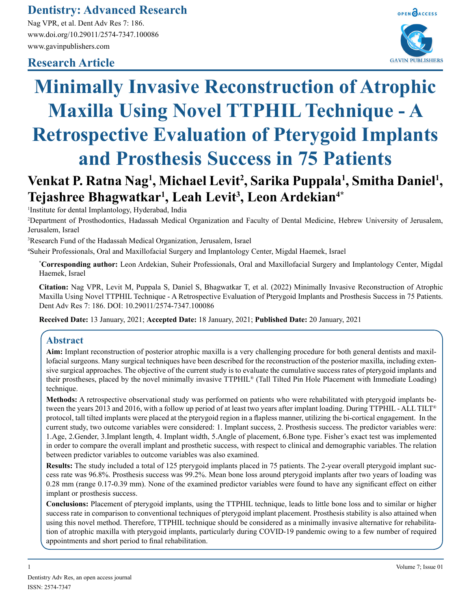## **Dentistry: Advanced Research**

Nag VPR, et al. Dent Adv Res 7: 186. www.doi.org/10.29011/2574-7347.100086 www.gavinpublishers.com

### **Research Article**



# **Minimally Invasive Reconstruction of Atrophic Maxilla Using Novel TTPHIL Technique - A Retrospective Evaluation of Pterygoid Implants and Prosthesis Success in 75 Patients**

# **Venkat P. Ratna Nag<sup>1</sup>, Michael Levit<sup>2</sup>, Sarika Puppala<sup>1</sup>, Smitha Daniel<sup>1</sup>, Tejashree Bhagwatkar1 , Leah Levit3 , Leon Ardekian4\***

1 Institute for dental Implantology, Hyderabad, India

2 Department of Prosthodontics, Hadassah Medical Organization and Faculty of Dental Medicine, Hebrew University of Jerusalem, Jerusalem, Israel

3 Research Fund of the Hadassah Medical Organization, Jerusalem, Israel

4 Suheir Professionals, Oral and Maxillofacial Surgery and Implantology Center, Migdal Haemek, Israel

**\* Corresponding author:** Leon Ardekian, Suheir Professionals, Oral and Maxillofacial Surgery and Implantology Center, Migdal Haemek, Israel

**Citation:** Nag VPR, Levit M, Puppala S, Daniel S, Bhagwatkar T, et al. (2022) Minimally Invasive Reconstruction of Atrophic Maxilla Using Novel TTPHIL Technique - A Retrospective Evaluation of Pterygoid Implants and Prosthesis Success in 75 Patients. Dent Adv Res 7: 186. DOI: 10.29011/2574-7347.100086

**Received Date:** 13 January, 2021; **Accepted Date:** 18 January, 2021; **Published Date:** 20 January, 2021

#### **Abstract**

**Aim:** Implant reconstruction of posterior atrophic maxilla is a very challenging procedure for both general dentists and maxillofacial surgeons. Many surgical techniques have been described for the reconstruction of the posterior maxilla, including extensive surgical approaches. The objective of the current study is to evaluate the cumulative success rates of pterygoid implants and their prostheses, placed by the novel minimally invasive TTPHIL® (Tall Tilted Pin Hole Placement with Immediate Loading) technique.

**Methods:** A retrospective observational study was performed on patients who were rehabilitated with pterygoid implants between the years 2013 and 2016, with a follow up period of at least two years after implant loading. During TTPHIL - ALL TILT® protocol, tall tilted implants were placed at the pterygoid region in a flapless manner, utilizing the bi-cortical engagement. In the current study, two outcome variables were considered: 1. Implant success, 2. Prosthesis success. The predictor variables were: 1.Age, 2.Gender, 3.Implant length, 4. Implant width, 5.Angle of placement, 6.Bone type. Fisher's exact test was implemented in order to compare the overall implant and prosthetic success, with respect to clinical and demographic variables. The relation between predictor variables to outcome variables was also examined.

**Results:** The study included a total of 125 pterygoid implants placed in 75 patients. The 2-year overall pterygoid implant success rate was 96.8%. Prosthesis success was 99.2%. Mean bone loss around pterygoid implants after two years of loading was 0.28 mm (range 0.17-0.39 mm). None of the examined predictor variables were found to have any significant effect on either implant or prosthesis success.

**Conclusions:** Placement of pterygoid implants, using the TTPHIL technique, leads to little bone loss and to similar or higher success rate in comparison to conventional techniques of pterygoid implant placement. Prosthesis stability is also attained when using this novel method. Therefore, TTPHIL technique should be considered as a minimally invasive alternative for rehabilitation of atrophic maxilla with pterygoid implants, particularly during COVID-19 pandemic owing to a few number of required appointments and short period to final rehabilitation.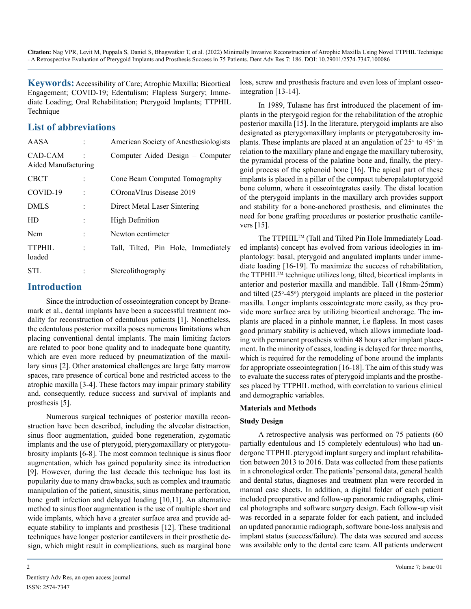**Keywords:** Accessibility of Care; Atrophic Maxilla; Bicortical Engagement; COVID-19; Edentulism; Flapless Surgery; Immediate Loading; Oral Rehabilitation; Pterygoid Implants; TTPHIL Technique

#### **List of abbreviations**

| AASA                           |                      | American Society of Anesthesiologists |  |
|--------------------------------|----------------------|---------------------------------------|--|
| CAD-CAM<br>Aided Manufacturing |                      | Computer Aided Design - Computer      |  |
| <b>CBCT</b>                    |                      | Cone Beam Computed Tomography         |  |
| COVID-19                       |                      | COrona VIrus Disease 2019             |  |
| <b>DMLS</b>                    |                      | Direct Metal Laser Sintering          |  |
| HD                             |                      | <b>High Definition</b>                |  |
| <b>Ncm</b>                     |                      | Newton centimeter                     |  |
| TTPHIL<br>loaded               | $\ddot{\phantom{0}}$ | Tall, Tilted, Pin Hole, Immediately   |  |
| STL                            |                      | Stereolithography                     |  |

#### **Introduction**

Since the introduction of osseointegration concept by Branemark et al., dental implants have been a successful treatment modality for reconstruction of edentulous patients [1]. Nonetheless, the edentulous posterior maxilla poses numerous limitations when placing conventional dental implants. The main limiting factors are related to poor bone quality and to inadequate bone quantity, which are even more reduced by pneumatization of the maxillary sinus [2]. Other anatomical challenges are large fatty marrow spaces, rare presence of cortical bone and restricted access to the atrophic maxilla [3-4]. These factors may impair primary stability and, consequently, reduce success and survival of implants and prosthesis [5].

Numerous surgical techniques of posterior maxilla reconstruction have been described, including the alveolar distraction, sinus floor augmentation, guided bone regeneration, zygomatic implants and the use of pterygoid, pterygomaxillary or pterygotubrosity implants [6-8]. The most common technique is sinus floor augmentation, which has gained popularity since its introduction [9]. However, during the last decade this technique has lost its popularity due to many drawbacks, such as complex and traumatic manipulation of the patient, sinusitis, sinus membrane perforation, bone graft infection and delayed loading [10,11]. An alternative method to sinus floor augmentation is the use of multiple short and wide implants, which have a greater surface area and provide adequate stability to implants and prosthesis [12]. These traditional techniques have longer posterior cantilevers in their prosthetic design, which might result in complications, such as marginal bone loss, screw and prosthesis fracture and even loss of implant osseointegration [13-14].

In 1989, Tulasne has first introduced the placement of implants in the pterygoid region for the rehabilitation of the atrophic posterior maxilla [15]. In the literature, pterygoid implants are also designated as pterygomaxillary implants or pterygotuberosity implants. These implants are placed at an angulation of  $25^{\circ}$  to  $45^{\circ}$  in relation to the maxillary plane and engage the maxillary tuberosity, the pyramidal process of the palatine bone and, finally, the pterygoid process of the sphenoid bone [16]. The apical part of these implants is placed in a pillar of the compact tuberopalatopterygoid bone column, where it osseointegrates easily. The distal location of the pterygoid implants in the maxillary arch provides support and stability for a bone-anchored prosthesis, and eliminates the need for bone grafting procedures or posterior prosthetic cantilevers [15].

The TTPHIL<sup>TM</sup> (Tall and Tilted Pin Hole Immediately Loaded implants) concept has evolved from various ideologies in implantology: basal, pterygoid and angulated implants under immediate loading [16-19]. To maximize the success of rehabilitation, the TTPHIL<sup>™</sup> technique utilizes long, tilted, bicortical implants in anterior and posterior maxilla and mandible. Tall (18mm-25mm) and tilted (25°-45°) pterygoid implants are placed in the posterior maxilla. Longer implants osseointegrate more easily, as they provide more surface area by utilizing bicortical anchorage. The implants are placed in a pinhole manner, i.e flapless. In most cases good primary stability is achieved, which allows immediate loading with permanent prosthesis within 48 hours after implant placement. In the minority of cases, loading is delayed for three months, which is required for the remodeling of bone around the implants for appropriate osseointegration [16-18]. The aim of this study was to evaluate the success rates of pterygoid implants and the prostheses placed by TTPHIL method, with correlation to various clinical and demographic variables.

#### **Materials and Methods**

#### **Study Design**

A retrospective analysis was performed on 75 patients (60 partially edentulous and 15 completely edentulous) who had undergone TTPHIL pterygoid implant surgery and implant rehabilitation between 2013 to 2016. Data was collected from these patients in a chronological order. The patients' personal data, general health and dental status, diagnoses and treatment plan were recorded in manual case sheets. In addition, a digital folder of each patient included preoperative and follow-up panoramic radiographs, clinical photographs and software surgery design. Each follow-up visit was recorded in a separate folder for each patient, and included an updated panoramic radiograph, software bone-loss analysis and implant status (success/failure). The data was secured and access was available only to the dental care team. All patients underwent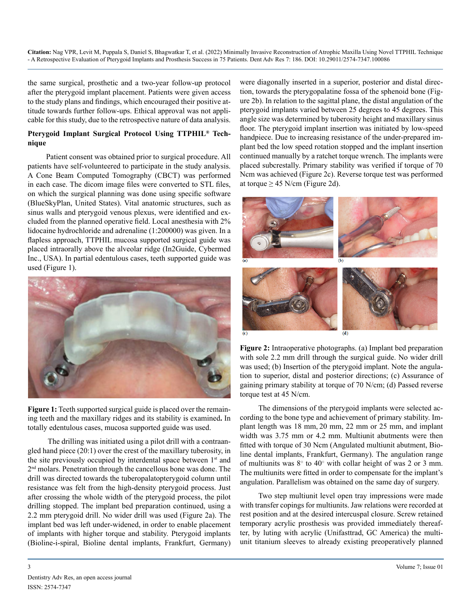the same surgical, prosthetic and a two-year follow-up protocol after the pterygoid implant placement. Patients were given access to the study plans and findings, which encouraged their positive attitude towards further follow-ups. Ethical approval was not applicable for this study, due to the retrospective nature of data analysis.

#### **Pterygoid Implant Surgical Protocol Using TTPHIL® Technique**

Patient consent was obtained prior to surgical procedure. All patients have self-volunteered to participate in the study analysis. A Cone Beam Computed Tomography (CBCT) was performed in each case. The dicom image files were converted to STL files, on which the surgical planning was done using specific software (BlueSkyPlan, United States). Vital anatomic structures, such as sinus walls and pterygoid venous plexus, were identified and excluded from the planned operative field. Local anesthesia with 2% lidocaine hydrochloride and adrenaline (1:200000) was given. In a flapless approach, TTPHIL mucosa supported surgical guide was placed intraorally above the alveolar ridge (In2Guide, Cybermed Inc., USA). In partial edentulous cases, teeth supported guide was used (Figure 1).



Figure 1: Teeth supported surgical guide is placed over the remaining teeth and the maxillary ridges and its stability is examined**.** In totally edentulous cases, mucosa supported guide was used.

 The drilling was initiated using a pilot drill with a contraangled hand piece (20:1) over the crest of the maxillary tuberosity, in the site previously occupied by interdental space between  $1<sup>st</sup>$  and 2nd molars. Penetration through the cancellous bone was done. The drill was directed towards the tuberopalatopterygoid column until resistance was felt from the high-density pterygoid process. Just after crossing the whole width of the pterygoid process, the pilot drilling stopped. The implant bed preparation continued, using a 2.2 mm pterygoid drill. No wider drill was used (Figure 2a). The implant bed was left under-widened, in order to enable placement of implants with higher torque and stability. Pterygoid implants (Bioline-i-spiral, Bioline dental implants, Frankfurt, Germany) were diagonally inserted in a superior, posterior and distal direction, towards the pterygopalatine fossa of the sphenoid bone (Figure 2b). In relation to the sagittal plane, the distal angulation of the pterygoid implants varied between 25 degrees to 45 degrees. This angle size was determined by tuberosity height and maxillary sinus floor. The pterygoid implant insertion was initiated by low-speed handpiece. Due to increasing resistance of the under-prepared implant bed the low speed rotation stopped and the implant insertion continued manually by a ratchet torque wrench. The implants were placed subcrestally. Primary stability was verified if torque of 70 Ncm was achieved (Figure 2c). Reverse torque test was performed at torque  $\geq$  45 N/cm (Figure 2d).



**Figure 2:** Intraoperative photographs. (a) Implant bed preparation with sole 2.2 mm drill through the surgical guide. No wider drill was used; (b) Insertion of the pterygoid implant. Note the angulation to superior, distal and posterior directions; (c) Assurance of gaining primary stability at torque of 70 N/cm; (d) Passed reverse torque test at 45 N/cm.

The dimensions of the pterygoid implants were selected according to the bone type and achievement of primary stability. Implant length was 18 mm, 20 mm, 22 mm or 25 mm, and implant width was 3.75 mm or 4.2 mm. Multiunit abutments were then fitted with torque of 30 Ncm (Angulated multiunit abutment, Bioline dental implants, Frankfurt, Germany). The angulation range of multiunits was  $8^{\circ}$  to  $40^{\circ}$  with collar height of was 2 or 3 mm. The multiunits were fitted in order to compensate for the implant's angulation. Parallelism was obtained on the same day of surgery.

Two step multiunit level open tray impressions were made with transfer copings for multiunits. Jaw relations were recorded at rest position and at the desired intercuspal closure. Screw retained temporary acrylic prosthesis was provided immediately thereafter, by luting with acrylic (Unifasttrad, GC America) the multiunit titanium sleeves to already existing preoperatively planned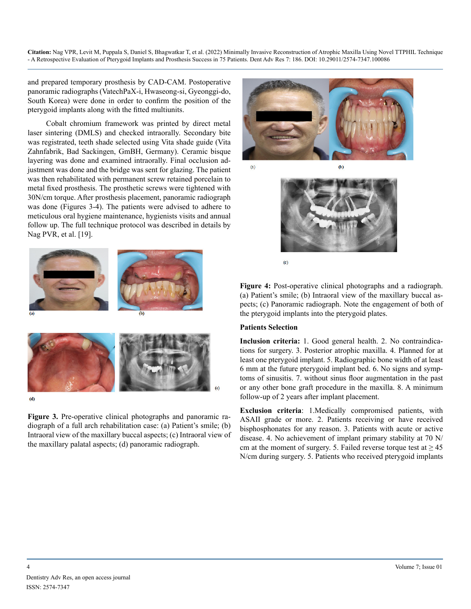and prepared temporary prosthesis by CAD-CAM. Postoperative panoramic radiographs (VatechPaX-i, Hwaseong-si, Gyeonggi-do, South Korea) were done in order to confirm the position of the pterygoid implants along with the fitted multiunits.

Cobalt chromium framework was printed by direct metal laser sintering (DMLS) and checked intraorally. Secondary bite was registrated, teeth shade selected using Vita shade guide (Vita Zahnfabrik, Bad Sackingen, GmBH, Germany). Ceramic bisque layering was done and examined intraorally. Final occlusion adjustment was done and the bridge was sent for glazing. The patient was then rehabilitated with permanent screw retained porcelain to metal fixed prosthesis. The prosthetic screws were tightened with 30N/cm torque. After prosthesis placement, panoramic radiograph was done (Figures 3-4). The patients were advised to adhere to meticulous oral hygiene maintenance, hygienists visits and annual follow up. The full technique protocol was described in details by Nag PVR, et al. [19].



 $(d)$ 

**Figure 3.** Pre-operative clinical photographs and panoramic radiograph of a full arch rehabilitation case: (a) Patient's smile; (b) Intraoral view of the maxillary buccal aspects; (c) Intraoral view of the maxillary palatal aspects; (d) panoramic radiograph.



 $\overline{c}$ 

**Figure 4:** Post-operative clinical photographs and a radiograph. (a) Patient's smile; (b) Intraoral view of the maxillary buccal aspects; (c) Panoramic radiograph. Note the engagement of both of the pterygoid implants into the pterygoid plates.

#### **Patients Selection**

**Inclusion criteria:** 1. Good general health. 2. No contraindications for surgery. 3. Posterior atrophic maxilla. 4. Planned for at least one pterygoid implant. 5. Radiographic bone width of at least 6 mm at the future pterygoid implant bed. 6. No signs and symptoms of sinusitis. 7. without sinus floor augmentation in the past or any other bone graft procedure in the maxilla. 8. A minimum follow-up of 2 years after implant placement.

**Exclusion criteria**: 1.Medically compromised patients, with ASAII grade or more. 2. Patients receiving or have received bisphosphonates for any reason. 3. Patients with acute or active disease. 4. No achievement of implant primary stability at 70 N/ cm at the moment of surgery. 5. Failed reverse torque test at  $\geq 45$ N/cm during surgery. 5. Patients who received pterygoid implants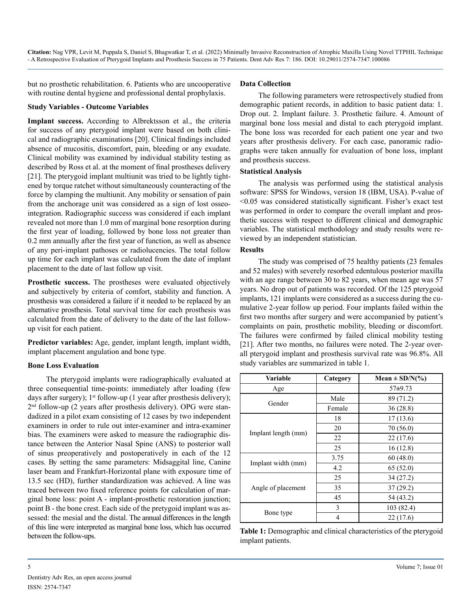but no prosthetic rehabilitation. 6. Patients who are uncooperative with routine dental hygiene and professional dental prophylaxis.

#### **Study Variables - Outcome Variables**

**Implant success.** According to Albrektsson et al., the criteria for success of any pterygoid implant were based on both clinical and radiographic examinations [20]. Clinical findings included absence of mucositis, discomfort, pain, bleeding or any exudate. Clinical mobility was examined by individual stability testing as described by Ross et al. at the moment of final prostheses delivery [21]. The pterygoid implant multiunit was tried to be lightly tightened by torque ratchet without simultaneously counteracting of the force by clamping the multiunit. Any mobility or sensation of pain from the anchorage unit was considered as a sign of lost osseointegration. Radiographic success was considered if each implant revealed not more than 1.0 mm of marginal bone resorption during the first year of loading, followed by bone loss not greater than 0.2 mm annually after the first year of function, as well as absence of any peri-implant pathoses or radiolucencies. The total follow up time for each implant was calculated from the date of implant placement to the date of last follow up visit.

**Prosthetic success.** The prostheses were evaluated objectively and subjectively by criteria of comfort, stability and function. A prosthesis was considered a failure if it needed to be replaced by an alternative prosthesis. Total survival time for each prosthesis was calculated from the date of delivery to the date of the last followup visit for each patient.

**Predictor variables:** Age, gender, implant length, implant width, implant placement angulation and bone type.

#### **Bone Loss Evaluation**

The pterygoid implants were radiographically evaluated at three consequential time-points: immediately after loading (few days after surgery);  $1<sup>st</sup>$  follow-up (1 year after prosthesis delivery);  $2<sup>nd</sup>$  follow-up (2 years after prosthesis delivery). OPG were standadized in a pilot exam consisting of 12 cases by two independent examiners in order to rule out inter-examiner and intra-examiner bias. The examiners were asked to measure the radiographic distance between the Anterior Nasal Spine (ANS) to posterior wall of sinus preoperatively and postoperatively in each of the 12 cases. By setting the same parameters: Midsaggital line, Canine laser beam and Frankfurt-Horizontal plane with exposure time of 13.5 sec (HD), further standardization was achieved. A line was traced between two fixed reference points for calculation of marginal bone loss: point A - implant-prosthetic restoration junction; point B - the bone crest. Each side of the pretygoid implant was assessed: the mesial and the distal. The annual differences in the length of this line were interpreted as marginal bone loss, which has occurred between the follow-ups.

#### **Data Collection**

The following parameters were retrospectively studied from demographic patient records, in addition to basic patient data: 1. Drop out. 2. Implant failure. 3. Prosthetic failure. 4. Amount of marginal bone loss mesial and distal to each pterygoid implant. The bone loss was recorded for each patient one year and two years after prosthesis delivery. For each case, panoramic radiographs were taken annually for evaluation of bone loss, implant and prosthesis success.

#### **Statistical Analysis**

The analysis was performed using the statistical analysis software: SPSS for Windows, version 18 (IBM, USA). P-value of <0.05 was considered statistically significant. Fisher's exact test was performed in order to compare the overall implant and prosthetic success with respect to different clinical and demographic variables. The statistical methodology and study results were reviewed by an independent statistician.

#### **Results**

The study was comprised of 75 healthy patients (23 females and 52 males) with severely resorbed edentulous posterior maxilla with an age range between 30 to 82 years, when mean age was 57 years. No drop out of patients was recorded. Of the 125 pterygoid implants, 121 implants were considered as a success during the cumulative 2-year follow up period. Four implants failed within the first two months after surgery and were accompanied by patient's complaints on pain, prosthetic mobility, bleeding or discomfort. The failures were confirmed by failed clinical mobility testing [21]. After two months, no failures were noted. The 2-year overall pterygoid implant and prosthesis survival rate was 96.8%. All study variables are summarized in table 1.

| Variable            | Category                                      | Mean $\pm$ SD/N(%) |
|---------------------|-----------------------------------------------|--------------------|
| Age                 |                                               | $57+9.73$          |
| Gender              | Male                                          | 89 (71.2)          |
|                     | Female                                        | 36(28.8)           |
|                     | 18                                            | 17(13.6)           |
| Implant length (mm) | 20                                            | 70 (56.0)          |
|                     | 22                                            | 22(17.6)           |
|                     | 25<br>3.75<br>4.2<br>25<br>35<br>45<br>3<br>4 | 16(12.8)           |
| Implant width (mm)  |                                               | 60(48.0)           |
|                     |                                               | 65(52.0)           |
|                     |                                               | 34(27.2)           |
| Angle of placement  |                                               | 37(29.2)           |
|                     |                                               | 54 (43.2)          |
|                     |                                               | 103 (82.4)         |
| Bone type           |                                               | 22(17.6)           |

**Table 1:** Demographic and clinical characteristics of the pterygoid implant patients.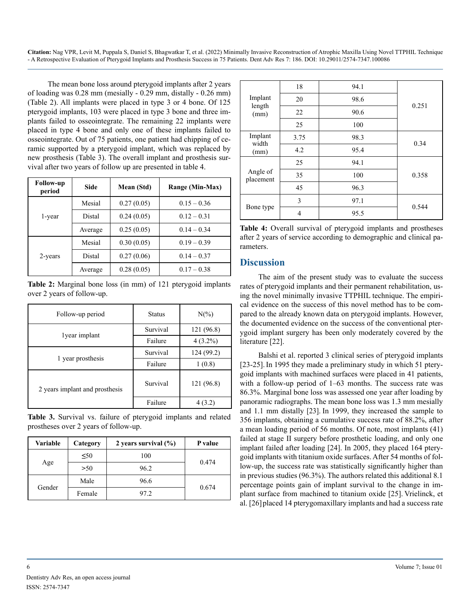The mean bone loss around pterygoid implants after 2 years of loading was 0.28 mm (mesially - 0.29 mm, distally - 0.26 mm) (Table 2). All implants were placed in type 3 or 4 bone. Of 125 pterygoid implants, 103 were placed in type 3 bone and three implants failed to osseointegrate. The remaining 22 implants were placed in type 4 bone and only one of these implants failed to osseointegrate. Out of 75 patients, one patient had chipping of ceramic supported by a pterygoid implant, which was replaced by new prosthesis (Table 3). The overall implant and prosthesis survival after two years of follow up are presented in table 4.

| <b>Follow-up</b><br>period | <b>Side</b> | Mean (Std) | Range (Min-Max) |
|----------------------------|-------------|------------|-----------------|
|                            | Mesial      | 0.27(0.05) | $0.15 - 0.36$   |
| 1-year                     | Distal      | 0.24(0.05) | $0.12 - 0.31$   |
|                            | Average     | 0.25(0.05) | $0.14 - 0.34$   |
|                            | Mesial      | 0.30(0.05) | $0.19 - 0.39$   |
| 2-years                    | Distal      | 0.27(0.06) | $0.14 - 0.37$   |
|                            | Average     | 0.28(0.05) | $0.17 - 0.38$   |

**Table 2:** Marginal bone loss (in mm) of 121 pterygoid implants over 2 years of follow-up.

| Follow-up period               | <b>Status</b> | $N(\%)$    |
|--------------------------------|---------------|------------|
|                                | Survival      | 121 (96.8) |
| lyear implant                  | Failure       | $4(3.2\%)$ |
|                                | Survival      | 124(99.2)  |
| 1 year prosthesis              | Failure       | 1(0.8)     |
| 2 years implant and prosthesis | Survival      | 121 (96.8) |
|                                | Failure       |            |

**Table 3.** Survival vs. failure of pterygoid implants and related prostheses over 2 years of follow-up.

| Variable | Category  | 2 years survival $(\%)$ | P value |  |
|----------|-----------|-------------------------|---------|--|
| Age      | $\leq 50$ | 100                     |         |  |
|          | >50       | 96.2                    | 0.474   |  |
| Gender   | Male      | 96.6                    |         |  |
|          | Female    | 97.2                    | 0.674   |  |

| Implant<br>length<br>(mm) | 18            | 94.1 |       |
|---------------------------|---------------|------|-------|
|                           | 20            | 98.6 | 0.251 |
|                           | 22            | 90.6 |       |
|                           | 25            | 100  |       |
| Implant<br>width<br>(mm)  | 3.75          | 98.3 | 0.34  |
|                           | 4.2           | 95.4 |       |
| Angle of<br>placement     | 25            | 94.1 |       |
|                           | 35            | 100  | 0.358 |
|                           | 45            | 96.3 |       |
| Bone type                 | $\mathcal{E}$ | 97.1 | 0.544 |
|                           | 4             | 95.5 |       |

**Table 4:** Overall survival of pterygoid implants and prostheses after 2 years of service according to demographic and clinical parameters.

#### **Discussion**

The aim of the present study was to evaluate the success rates of pterygoid implants and their permanent rehabilitation, using the novel minimally invasive TTPHIL technique. The empirical evidence on the success of this novel method has to be compared to the already known data on pterygoid implants. However, the documented evidence on the success of the conventional pterygoid implant surgery has been only moderately covered by the literature [22].

Balshi et al. reported 3 clinical series of pterygoid implants [23-25]. In 1995 they made a preliminary study in which 51 pterygoid implants with machined surfaces were placed in 41 patients, with a follow-up period of 1–63 months. The success rate was 86.3%. Marginal bone loss was assessed one year after loading by panoramic radiographs. The mean bone loss was 1.3 mm mesially and 1.1 mm distally [23]. In 1999, they increased the sample to 356 implants, obtaining a cumulative success rate of 88.2%, after a mean loading period of 56 months. Of note, most implants (41) failed at stage II surgery before prosthetic loading, and only one implant failed after loading [24]. In 2005, they placed 164 pterygoid implants with titanium oxide surfaces. After 54 months of follow-up, the success rate was statistically significantly higher than in previous studies (96.3%). The authors related this additional 8.1 percentage points gain of implant survival to the change in implant surface from machined to titanium oxide [25]. Vrielinck, et al. [26]placed 14 pterygomaxillary implants and had a success rate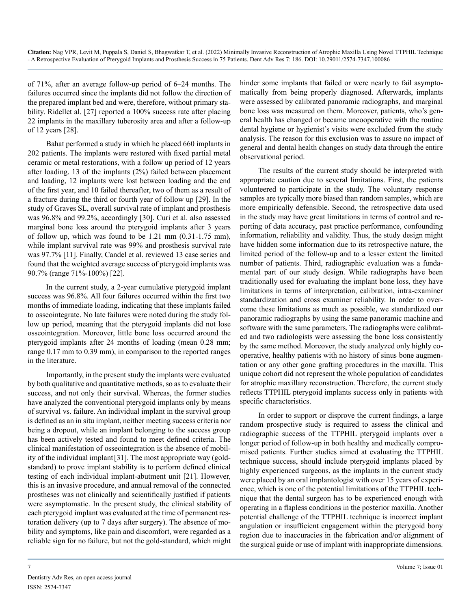of 71%, after an average follow-up period of 6–24 months. The failures occurred since the implants did not follow the direction of the prepared implant bed and were, therefore, without primary stability. Ridellet al. [27] reported a 100% success rate after placing 22 implants in the maxillary tuberosity area and after a follow-up of 12 years [28].

Bahat performed a study in which he placed 660 implants in 202 patients. The implants were restored with fixed partial metal ceramic or metal restorations, with a follow up period of 12 years after loading. 13 of the implants (2%) failed between placement and loading, 12 implants were lost between loading and the end of the first year, and 10 failed thereafter, two of them as a result of a fracture during the third or fourth year of follow up [29]. In the study of [Graves SL,](https://www.ncbi.nlm.nih.gov/pubmed/?term=Graves SL%5BAuthor%5D&cauthor=true&cauthor_uid=7751116) overall survival rate of implant and prosthesis was 96.8% and 99.2%, accordingly [30]. Curi et al. also assessed marginal bone loss around the pterygoid implants after 3 years of follow up, which was found to be 1.21 mm (0.31-1.75 mm), while implant survival rate was 99% and prosthesis survival rate was 97.7% [11]. Finally, Candel et al. reviewed 13 case series and found that the weighted average success of pterygoid implants was 90.7% (range 71%-100%) [22].

In the current study, a 2-year cumulative pterygoid implant success was 96.8%. All four failures occurred within the first two months of immediate loading, indicating that these implants failed to osseointegrate. No late failures were noted during the study follow up period, meaning that the pterygoid implants did not lose osseointegration. Moreover, little bone loss occurred around the pterygoid implants after 24 months of loading (mean 0.28 mm; range 0.17 mm to 0.39 mm), in comparison to the reported ranges in the literature.

Importantly, in the present study the implants were evaluated by both qualitative and quantitative methods, so as to evaluate their success, and not only their survival. Whereas, the former studies have analyzed the conventional pterygoid implants only by means of survival vs. failure. An individual implant in the survival group is defined as an in situ implant, neither meeting success criteria nor being a dropout, while an implant belonging to the success group has been actively tested and found to meet defined criteria. The clinical manifestation of osseointegration is the absence of mobility of the individual implant[31]. The most appropriate way (goldstandard) to prove implant stability is to perform defined clinical testing of each individual implant-abutment unit [21]. However, this is an invasive procedure, and annual removal of the connected prostheses was not clinically and scientifically justified if patients were asymptomatic. In the present study, the clinical stability of each pterygoid implant was evaluated at the time of permanent restoration delivery (up to 7 days after surgery). The absence of mobility and symptoms, like pain and discomfort, were regarded as a reliable sign for no failure, but not the gold-standard, which might

hinder some implants that failed or were nearly to fail asymptomatically from being properly diagnosed. Afterwards, implants were assessed by calibrated panoramic radiographs, and marginal bone loss was measured on them. Moreover, patients, who's general health has changed or became uncooperative with the routine dental hygiene or hygienist's visits were excluded from the study analysis. The reason for this exclusion was to assure no impact of general and dental health changes on study data through the entire observational period.

The results of the current study should be interpreted with appropriate caution due to several limitations. First, the patients volunteered to participate in the study. The voluntary response samples are typically more biased than random samples, which are more empirically defensible. Second, the retrospective data used in the study may have great limitations in terms of control and reporting of data accuracy, past practice performance, confounding information, reliability and validity. Thus, the study design might have hidden some information due to its retrospective nature, the limited period of the follow-up and to a lesser extent the limited number of patients. Third, radiographic evaluation was a fundamental part of our study design. While radiographs have been traditionally used for evaluating the implant bone loss, they have limitations in terms of interpretation, calibration, intra-examiner standardization and cross examiner reliability. In order to overcome these limitations as much as possible, we standardized our panoramic radiographs by using the same panoramic machine and software with the same parameters. The radiographs were calibrated and two radiologists were assessing the bone loss consistently by the same method. Moreover, the study analyzed only highly cooperative, healthy patients with no history of sinus bone augmentation or any other gone grafting procedures in the maxilla. This unique cohort did not represent the whole population of candidates for atrophic maxillary reconstruction. Therefore, the current study reflects TTPHIL pterygoid implants success only in patients with specific characteristics.

In order to support or disprove the current findings, a large random prospective study is required to assess the clinical and radiographic success of the TTPHIL pterygoid implants over a longer period of follow-up in both healthy and medically compromised patients. Further studies aimed at evaluating the TTPHIL technique success, should include pterygoid implants placed by highly experienced surgeons, as the implants in the current study were placed by an oral implantologist with over 15 years of experience, which is one of the potential limitations of the TTPHIL technique that the dental surgeon has to be experienced enough with operating in a flapless conditions in the posterior maxilla. Another potential challenge of the TTPHIL technique is incorrect implant angulation or insufficient engagement within the pterygoid bony region due to inaccuracies in the fabrication and/or alignment of the surgical guide or use of implant with inappropriate dimensions.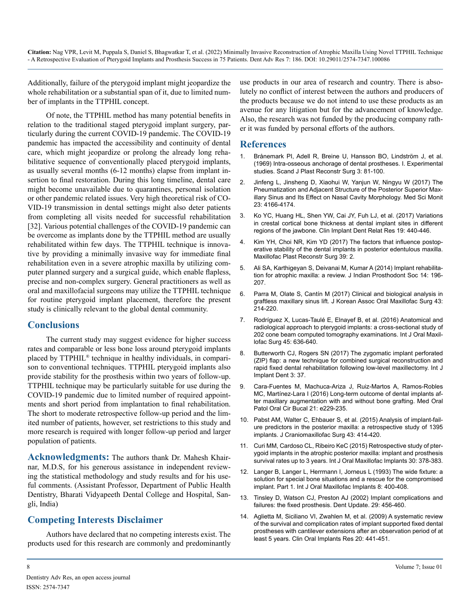Additionally, failure of the pterygoid implant might jeopardize the whole rehabilitation or a substantial span of it, due to limited number of implants in the TTPHIL concept.

Of note, the TTPHIL method has many potential benefits in relation to the traditional staged pterygoid implant surgery, particularly during the current COVID-19 pandemic. The COVID-19 pandemic has impacted the accessibility and continuity of dental care, which might jeopardize or prolong the already long rehabilitative sequence of conventionally placed pterygoid implants, as usually several months (6-12 months) elapse from implant insertion to final restoration. During this long timeline, dental care might become unavailable due to quarantines, personal isolation or other pandemic related issues. Very high theoretical risk of CO-VID-19 transmission in dental settings might also deter patients from completing all visits needed for successful rehabilitation [32]. Various potential challenges of the COVID-19 pandemic can be overcome as implants done by the TTPHIL method are usually rehabilitated within few days. The TTPHIL technique is innovative by providing a minimally invasive way for immediate final rehabilitation even in a severe atrophic maxilla by utilizing computer planned surgery and a surgical guide, which enable flapless, precise and non-complex surgery. General practitioners as well as oral and maxillofacial surgeons may utilize the TTPHIL technique for routine pterygoid implant placement, therefore the present study is clinically relevant to the global dental community.

#### **Conclusions**

The current study may suggest evidence for higher success rates and comparable or less bone loss around pterygoid implants placed by TTPHIL® technique in healthy individuals, in comparison to conventional techniques. TTPHIL pterygoid implants also provide stability for the prosthesis within two years of follow-up. TTPHIL technique may be particularly suitable for use during the COVID-19 pandemic due to limited number of required appointments and short period from implantation to final rehabilitation. The short to moderate retrospective follow-up period and the limited number of patients, however, set restrictions to this study and more research is required with longer follow-up period and larger population of patients.

**Acknowledgments:** The authors thank Dr. Mahesh Khairnar, M.D.S, for his generous assistance in independent reviewing the statistical methodology and study results and for his useful comments. (Assistant Professor, Department of Public Health Dentistry, Bharati Vidyapeeth Dental College and Hospital, Sangli, India)

#### **Competing Interests Disclaimer**

Authors have declared that no competing interests exist. The products used for this research are commonly and predominantly use products in our area of research and country. There is absolutely no conflict of interest between the authors and producers of the products because we do not intend to use these products as an avenue for any litigation but for the advancement of knowledge. Also, the research was not funded by the producing company rather it was funded by personal efforts of the authors.

#### **References**

- 1. [Brånemark PI, Adell R, Breine U, Hansson BO, Lindström J, et al.](https://pubmed.ncbi.nlm.nih.gov/4924041/)  [\(1969\) Intra-osseous anchorage of dental prostheses. I. Experimental](https://pubmed.ncbi.nlm.nih.gov/4924041/)  [studies. Scand J Plast Reconstr Surg 3: 81-100.](https://pubmed.ncbi.nlm.nih.gov/4924041/)
- 2. [Jinfeng L, Jinsheng D, Xiaohui W, Yanjun W, Ningyu W \(2017\) The](https://www.ncbi.nlm.nih.gov/pmc/articles/PMC5586977/#:~:text=The posterior superior part of,(SS) %5B5%5D.)  [Pneumatization and Adjacent Structure of the Posterior Superior Max](https://www.ncbi.nlm.nih.gov/pmc/articles/PMC5586977/#:~:text=The posterior superior part of,(SS) %5B5%5D.)[illary Sinus and Its Effect on Nasal Cavity Morphology. Med Sci Monit](https://www.ncbi.nlm.nih.gov/pmc/articles/PMC5586977/#:~:text=The posterior superior part of,(SS) %5B5%5D.)  [23: 4166-4174.](https://www.ncbi.nlm.nih.gov/pmc/articles/PMC5586977/#:~:text=The posterior superior part of,(SS) %5B5%5D.)
- 3. [Ko YC, Huang HL, Shen YW, Cai JY, Fuh LJ, et al. \(2017\) Variations](https://pubmed.ncbi.nlm.nih.gov/28074591/#:~:text=Results%3A The crestal cortical bone,(0.75 %C2%B1 0.35 mm).)  [in crestal cortical bone thickness at dental implant sites in different](https://pubmed.ncbi.nlm.nih.gov/28074591/#:~:text=Results%3A The crestal cortical bone,(0.75 %C2%B1 0.35 mm).) [regions of the jawbone. Clin Implant Dent Relat Res 19: 440-446.](https://pubmed.ncbi.nlm.nih.gov/28074591/#:~:text=Results%3A The crestal cortical bone,(0.75 %C2%B1 0.35 mm).)
- 4. [Kim YH, Choi NR, Kim YD \(2017\) The factors that influence postop](https://www.ncbi.nlm.nih.gov/pmc/articles/PMC5218953/#:~:text=The initial bone height%2C fixture,on the posterior edentulous maxilla.)[erative stability of the dental implants in posterior edentulous maxilla.](https://www.ncbi.nlm.nih.gov/pmc/articles/PMC5218953/#:~:text=The initial bone height%2C fixture,on the posterior edentulous maxilla.)  [Maxillofac Plast Reconstr Surg 39: 2.](https://www.ncbi.nlm.nih.gov/pmc/articles/PMC5218953/#:~:text=The initial bone height%2C fixture,on the posterior edentulous maxilla.)
- 5. [Ali SA, Karthigeyan S, Deivanai M, Kumar A \(2014\) Implant rehabilita](https://www.ncbi.nlm.nih.gov/pmc/articles/PMC4148518/)[tion for atrophic maxilla: a review. J Indian Prosthodont Soc 14: 196-](https://www.ncbi.nlm.nih.gov/pmc/articles/PMC4148518/) [207.](https://www.ncbi.nlm.nih.gov/pmc/articles/PMC4148518/)
- 6. [Parra M, Olate S, Cantín M \(2017\) Clinical and biological analysis in](https://pubmed.ncbi.nlm.nih.gov/28875135/)  [graftless maxillary sinus lift. J Korean Assoc Oral Maxillofac Surg 43:](https://pubmed.ncbi.nlm.nih.gov/28875135/) [214-220.](https://pubmed.ncbi.nlm.nih.gov/28875135/)
- 7. [Rodríguez X, Lucas-Taulé E, Elnayef B, et al. \(2016\) Anatomical and](https://pubmed.ncbi.nlm.nih.gov/26768019/)  [radiological approach to pterygoid implants: a cross-sectional study of](https://pubmed.ncbi.nlm.nih.gov/26768019/)  [202 cone beam computed tomography examinations. Int J Oral Maxil](https://pubmed.ncbi.nlm.nih.gov/26768019/)[lofac Surg 45: 636-640.](https://pubmed.ncbi.nlm.nih.gov/26768019/)
- 8. [Butterworth CJ, Rogers SN \(2017\) The zygomatic implant perforated](https://www.ncbi.nlm.nih.gov/pmc/articles/PMC5534193/)  [\(ZIP\) flap: a new technique for combined surgical reconstruction and](https://www.ncbi.nlm.nih.gov/pmc/articles/PMC5534193/)  [rapid fixed dental rehabilitation following low-level maxillectomy. Int J](https://www.ncbi.nlm.nih.gov/pmc/articles/PMC5534193/)  [Implant Dent 3: 37.](https://www.ncbi.nlm.nih.gov/pmc/articles/PMC5534193/)
- 9. [Cara-Fuentes M, Machuca-Ariza J, Ruiz-Martos A, Ramos-Robles](https://pubmed.ncbi.nlm.nih.gov/26827071/)  [MC, Martínez-Lara I \(2016\) Long-term outcome of dental implants af](https://pubmed.ncbi.nlm.nih.gov/26827071/)[ter maxillary augmentation with and without bone grafting. Med Oral](https://pubmed.ncbi.nlm.nih.gov/26827071/)  [Patol Oral Cir Bucal 21: e229-235.](https://pubmed.ncbi.nlm.nih.gov/26827071/)
- 10. [Pabst AM, Walter C, Ehbauer S, et al. \(2015\) Analysis of implant-fail](https://pubmed.ncbi.nlm.nih.gov/25697051/)[ure predictors in the posterior maxilla: a retrospective study of 1395](https://pubmed.ncbi.nlm.nih.gov/25697051/) [implants. J Craniomaxillofac Surg 43: 414-420.](https://pubmed.ncbi.nlm.nih.gov/25697051/)
- 11. [Curi MM, Cardoso CL, Ribeiro KeC \(2015\) Retrospective study of pter](https://pubmed.ncbi.nlm.nih.gov/25830398/)[ygoid implants in the atrophic posterior maxilla: implant and prosthesis](https://pubmed.ncbi.nlm.nih.gov/25830398/)  [survival rates up to 3 years. Int J Oral Maxillofac Implants 30: 378-383.](https://pubmed.ncbi.nlm.nih.gov/25830398/)
- 12. [Langer B, Langer L, Herrmann I, Jorneus L \(1993\) The wide fixture: a](https://pubmed.ncbi.nlm.nih.gov/8270308/)  [solution for special bone situations and a rescue for the compromised](https://pubmed.ncbi.nlm.nih.gov/8270308/)  [implant. Part 1. Int J Oral Maxillofac Implants 8: 400-408.](https://pubmed.ncbi.nlm.nih.gov/8270308/)
- 13. [Tinsley D, Watson CJ, Preston AJ \(2002\) Implant complications and](https://pubmed.ncbi.nlm.nih.gov/12494562/)  [failures: the fixed prosthesis. Dent Update. 29: 456-460.](https://pubmed.ncbi.nlm.nih.gov/12494562/)
- 14. [Aglietta M, Siciliano VI, Zwahlen M, et al. \(2009\) A systematic review](https://pubmed.ncbi.nlm.nih.gov/19522975/) [of the survival and complication rates of implant supported fixed dental](https://pubmed.ncbi.nlm.nih.gov/19522975/)  [prostheses with cantilever extensions after an observation period of at](https://pubmed.ncbi.nlm.nih.gov/19522975/) [least 5 years. Clin Oral Implants Res 20: 441-451.](https://pubmed.ncbi.nlm.nih.gov/19522975/)